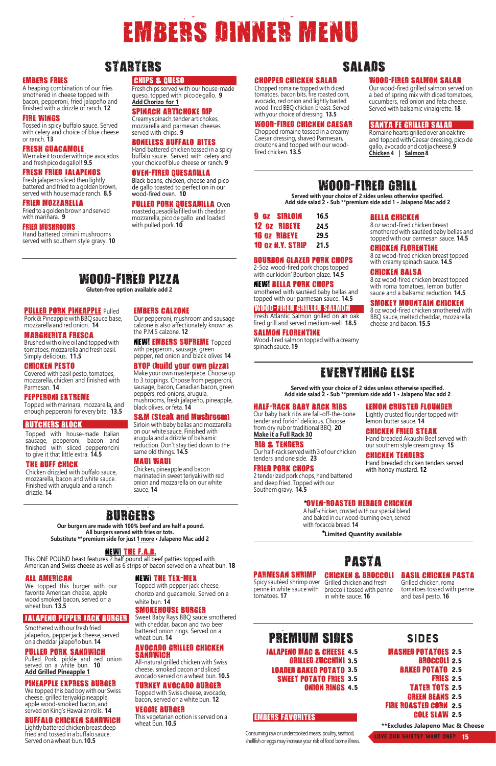# WOOD-FIRED GRILL

**Served with your choice of 2 sides unless otherwise specified. Add side salad 2 • Sub \*\*premium side add 1 • Jalapeno Mac add 2**

BOURBON GLAZED PORK CHOPS 2-5oz. wood-fired pork chops topped

with our kickin' Bourbon glaze. **14.5**

#### NEW! BELLA PORK CHOPS

smothered with sautéed baby bellas and topped with our parmesan sauce. **14.5**

#### WOOD-FIRED GRILLED SALMON

Fresh Atlantic Salmon grilled on an oak fired grill and served medium-well **18.5**

#### SALMON FLORENTINE

Wood-fired salmon topped with a creamy spinach sauce. **19**

#### BELLA CHICKEN

8 oz wood-fired chicken breast smothered with sautéed baby bellas and topped with our parmesan sauce. **14.5**

#### CHICKEN FLORENTINE

8 oz wood-fired chicken breast topped with creamy spinach sauce. **14.5**

#### CHICKEN BALSA

8 oz wood-fired chicken breast topped with roma tomatoes, lemon butter sauce and a balsamic reduction. **14.5**

#### SMOKEY MOUNTAIN CHICKEN

8 oz wood-fired chicken smothered with BBQ sauce, melted cheddar, mozzarella cheese and bacon. **15.5**

### PARMESAN SHRIMP

Spicy sautéed shrimp over Grilled chicken and fresh penne in white sauce with tomatoes. **17**

# PASTA

CHICKEN & BROCCOLI broccoli tossed with penne in white sauce. **16**

#### BASIL CHICKEN PASTA Grilled chicken, roma

tomatoes tossed with penne and basil pesto. **16**

# PREMIUM SIDES SIDES

#### EMBERS FAVORITES

# EVERYTHING ELSE

**Served with your choice of 2 sides unless otherwise specified. Add side salad 2 • Sub \*\*premium side add 1 • Jalapeno Mac add 2**

#### HALF-RACK BABY BACK RIBS

Our baby back ribs are fall-off-the-bone tender and forkin' delicious. Choose from dry rub or traditional BBQ. **20 Make it a Full Rack 30**

Our half-rack served with 3 of our chicken

RIB & TENDERS tenders and one side. **23**

FRIED PORK CHOPS

2 tenderized pork chops, hand battered and deep fried. Topped with our Southern gravy. **14.5**

WOOD-FIRED PIZZA **Gluten-free option available add 2**

Pork & Pineapple with BBQ sauce base, mozzarella and red onion. **14**

#### MARGHERITA FRESCA

Brushed with olive oil and topped with tomatoes, mozzarella and fresh basil. Simply delicious. **11.5**

#### CHICKEN PESTO

Covered with basil pesto, tomatoes, mozzarella, chicken and finished with Parmesan. **14**

#### PEPPERONI EXTREME

Topped with marinara, mozzarella, and enough pepperoni for every bite. **13.5**

Fried to a golden brown and served with marinara. **9**

#### BUTCHERS BLOCK

2.5 MASHED POTATOES **BROCCOLI 2.5** BAKED POTATO 2.5 **FRIES** 2.5 **TATER TOTS 2.5** GREEN BEANS 2.5 2.5 FIRE ROASTED CORN COLE SLAW 2.5

Topped with house-made Italian sausage, pepperoni, bacon and finished with sliced pepperoncini to give it that little extra. **14.5**

#### THE BUFF CHICK

Chicken drizzled with buffalo sauce, mozzarella, bacon and white sauce. Finished with arugula and a ranch drizzle. **14**



EMBERS CALZONE

Our pepperoni, mushroom and sausage calzone is also affectionately known as

the P.M.S calzone. **12**

#### PULLED PORK PINEAPPLE Pulled

NEW! EMBERS SUPREME Topped with pepperoni, sausage, green pepper, red onion and black olives **14** BYOP (build your own pizza) Make your own masterpiece. Choose up to 3 toppings. Choose from pepperoni, sausage, bacon, Canadian bacon, green

peppers, red onions, arugula,

mushrooms, fresh jalapeño, pineapple,

black olives, or feta. **14**

S&M (Steak and Mushroom)

## **SALADS**

#### Sirloin with baby bellas and mozzarella on our white sauce. Finished with arugula and a drizzle of balsamic

reduction. Don't stay tied down to the same old things. **14.5**

### MAUI WAUI

Chicken, pineapple and bacon marinated in sweet teriyaki with red onion and mozzarella on our white sauce. **14**

# EMBERS DINNER MENU

# STARTERS

#### CHIPS & QUESO

Fresh chips served with our house-made queso, topped with pico degallo. **9 Add Chorizo for 1**

#### SPINACH ARTICHOKE DIP

Creamy spinach, tender artichokes, mozzarella and parmesan cheeses served with chips. **9**

#### BONELESS BUFFALO BITES

Hand battered chicken tossed in a spicy buffalo sauce. Served with celery and your choice of blue cheese or ranch. **9**

#### OVEN-FIRED QUESADILLA

Black beans, chicken, cheese and pico de gallo toasted to perfection in our wood-fired oven. **10**

#### PULLED PORK QUESADILLA Oven

roasted quesadilla filled with cheddar, mozzarella, pico de gallo and loaded with pulled pork.**10** 

|  | 9 OZ SIBLOIN            | 16.5 |
|--|-------------------------|------|
|  | <b>12 OZ RIBEYE</b>     | 24.5 |
|  | <b>16 OZ BIBEYE</b>     | 29.5 |
|  | <b>10 OZ N.Y. STRIP</b> | 21.5 |

#### EMBERS FRIES

A heaping combination of our fries smothered in cheese topped with bacon, pepperoni, fried jalapeño and finished with a drizzle of ranch. **12**

#### FIRE WINGS

Tossed in spicy buffalo sauce. Served with celery and choice of blue cheese or ranch. **13**

#### FRESH GUACAMOLE

We make it to order with ripe avocados and fresh pico de gallo!! **9.5**

#### FRESH FRIED JALAPENOS

Fresh jalapeno sliced then lightly battered and fried to a golden brown, served with house made ranch. **8.5**

#### FRIED MOZZARELLA

#### FRIED MUSHROOMS

Hand battered crimini mushrooms served with southern style gravy. **10**

- JALAPENO MAC & CHEESE 4.5GRILLED ZUCCHINI 3.5
- LOADED BAKED POTATO 3.5 SWEET POTATO FRIES 3.5

ONION RINGS 4.5

**\*\*Excludes Jalapeno Mac & Cheese**

Love our shirts? Want one? 15

### WOOD-FIRED SALMON SALAD

Our wood-fired grilled salmon served on a bed of spring mix with diced tomatoes, cucumbers, red onion and feta cheese. Served with balsamic vinaigrette. **18**

#### CHOPPED CHICKEN SALAD

Chopped romaine topped with diced tomatoes, bacon bits, fire roasted corn, avocado, red onion and lightly basted wood-fired BBQ chicken breast. Served with your choice of dressing **13.5**

#### WOOD-FIRED CHICKEN CAESAR

Chopped romaine tossed in a creamy Caesar dressing, shaved Parmesan, croutons and topped with our woodfired chicken. **13.5**

#### SANTA FE GRILLED SALAD

Romaine hearts grilled over an oak fire and topped with Caesar dressing, pico de gallo, avocado and cotija cheese. **9 Chicken 4 | Salmon 8** 

Consuming raw or undercooked meats, poultry, seafood, shellfish or eggs may increase your risk of food borne illness.

#### LEMON CRUSTED FLOUNDER

Lightly crusted flounder topped with lemon butter sauce. **14**

#### CHICKEN FRIED STEAK

Hand breaded Akaushi Beef served with our southern style cream gravy. **15**

#### CHICKEN TENDERS

Hand breaded chicken tenders served with honey mustard. **12**

#### \*OVEN-ROASTED HERBED CHICKEN

A half-chicken, crusted with our special blend and baked in our wood-burning oven, served with focaccia bread. **14**

\***Limited Quantity available**

### JALAPENO PEPPER JACK BURGER

#### ALL AMERICAN

We topped this burger with our favorite American cheese, apple wood smoked bacon, served on a wheat bun. **13.5**

Smothered with our fresh fried jalapeños, pepper jack cheese, served on a cheddar jalapeño bun.**14**

### PULLED PORK SANDWICH

Pulled Pork, pickle and red onion served on a white bun. **10 Add Grilled Pineapple 1**

#### PINEAPPLE EXPRESS BURGER

We topped this bad boy with our Swiss cheese, grilled teriyaki pineapple, apple wood-smoked bacon, and served on King's Hawaiian rolls. **14**

#### BUFFALO CHICKEN SANDWICH

Lightly battered chicken breast deep fried and tossed in a buffalo sauce. Served on a wheat bun. **10.5**

# BURGERS

**Our burgers are made with 100% beef and are half a pound. All burgers served with fries or tots. Substitute \*\*premium side for just 1 more • Jalapeno Mac add 2**

### NEW! THE F.A.B.

This ONE POUND beast features 2 half pound all beef patties topped with

American and Swiss cheese as well as 6 strips of bacon served on a wheat bun. **18**

#### NEW! THE TEX-MEX

Topped with pepper jack cheese, chorizo and guacamole. Served on a white bun. **14**

#### SMOKEHOUSE BURGER

Sweet Baby Rays BBQ sauce smothered with cheddar, bacon and two beer battered onion rings. Served on a wheat bun. **14**

# AVOCADO GRILLED CHICKEN SANDWICH

All-natural grilled chicken with Swiss cheese, smoked bacon and sliced avocado served on a wheat bun. **10.5**

#### TURKEY AVOCADO BURGER

Topped with Swiss cheese, avocado, bacon, served on a white bun. **12**

#### VEGGIE BURGER

This vegetarian option is served on a wheat bun. **10.5**